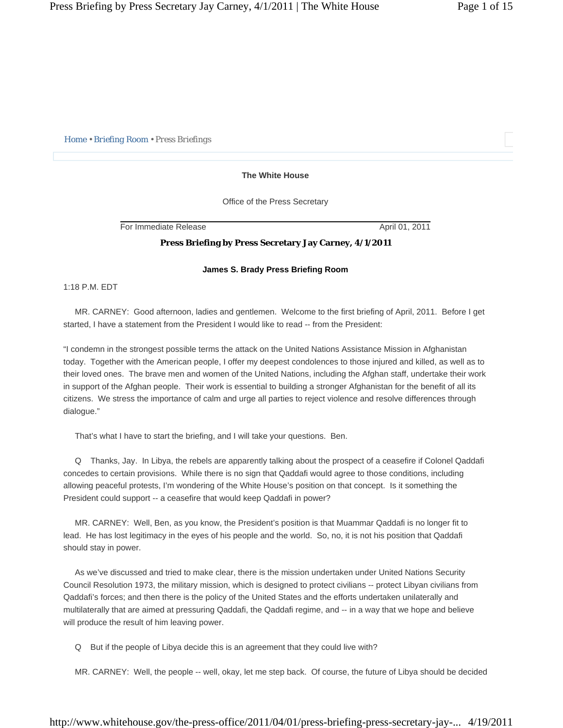*Home • Briefing Room • Press Briefings* 

# **The White House**

Office of the Press Secretary

For Immediate Release April 01, 2011

## **Press Briefing by Press Secretary Jay Carney, 4/1/2011**

## **James S. Brady Press Briefing Room**

1:18 P.M. EDT

 MR. CARNEY: Good afternoon, ladies and gentlemen. Welcome to the first briefing of April, 2011. Before I get started, I have a statement from the President I would like to read -- from the President:

"I condemn in the strongest possible terms the attack on the United Nations Assistance Mission in Afghanistan today. Together with the American people, I offer my deepest condolences to those injured and killed, as well as to their loved ones. The brave men and women of the United Nations, including the Afghan staff, undertake their work in support of the Afghan people. Their work is essential to building a stronger Afghanistan for the benefit of all its citizens. We stress the importance of calm and urge all parties to reject violence and resolve differences through dialogue."

That's what I have to start the briefing, and I will take your questions. Ben.

 Q Thanks, Jay. In Libya, the rebels are apparently talking about the prospect of a ceasefire if Colonel Qaddafi concedes to certain provisions. While there is no sign that Qaddafi would agree to those conditions, including allowing peaceful protests, I'm wondering of the White House's position on that concept. Is it something the President could support -- a ceasefire that would keep Qaddafi in power?

 MR. CARNEY: Well, Ben, as you know, the President's position is that Muammar Qaddafi is no longer fit to lead. He has lost legitimacy in the eyes of his people and the world. So, no, it is not his position that Qaddafi should stay in power.

 As we've discussed and tried to make clear, there is the mission undertaken under United Nations Security Council Resolution 1973, the military mission, which is designed to protect civilians -- protect Libyan civilians from Qaddafi's forces; and then there is the policy of the United States and the efforts undertaken unilaterally and multilaterally that are aimed at pressuring Qaddafi, the Qaddafi regime, and -- in a way that we hope and believe will produce the result of him leaving power.

Q But if the people of Libya decide this is an agreement that they could live with?

MR. CARNEY: Well, the people -- well, okay, let me step back. Of course, the future of Libya should be decided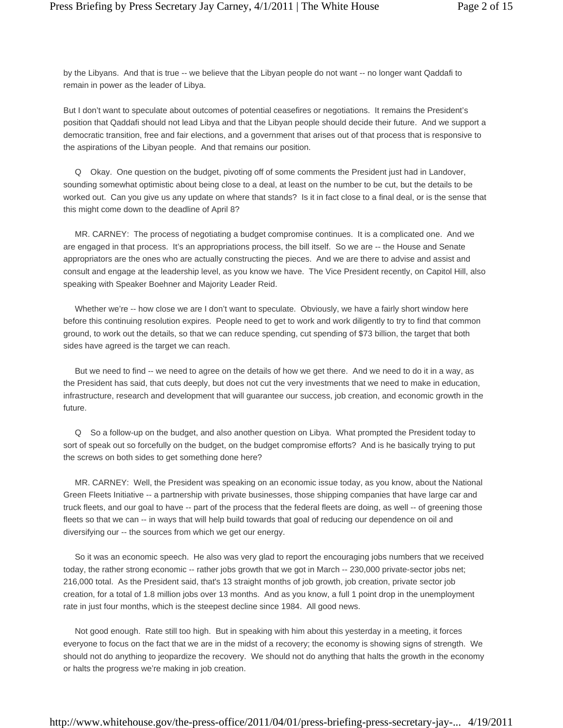by the Libyans. And that is true -- we believe that the Libyan people do not want -- no longer want Qaddafi to remain in power as the leader of Libya.

But I don't want to speculate about outcomes of potential ceasefires or negotiations. It remains the President's position that Qaddafi should not lead Libya and that the Libyan people should decide their future. And we support a democratic transition, free and fair elections, and a government that arises out of that process that is responsive to the aspirations of the Libyan people. And that remains our position.

 Q Okay. One question on the budget, pivoting off of some comments the President just had in Landover, sounding somewhat optimistic about being close to a deal, at least on the number to be cut, but the details to be worked out. Can you give us any update on where that stands? Is it in fact close to a final deal, or is the sense that this might come down to the deadline of April 8?

 MR. CARNEY: The process of negotiating a budget compromise continues. It is a complicated one. And we are engaged in that process. It's an appropriations process, the bill itself. So we are -- the House and Senate appropriators are the ones who are actually constructing the pieces. And we are there to advise and assist and consult and engage at the leadership level, as you know we have. The Vice President recently, on Capitol Hill, also speaking with Speaker Boehner and Majority Leader Reid.

Whether we're -- how close we are I don't want to speculate. Obviously, we have a fairly short window here before this continuing resolution expires. People need to get to work and work diligently to try to find that common ground, to work out the details, so that we can reduce spending, cut spending of \$73 billion, the target that both sides have agreed is the target we can reach.

 But we need to find -- we need to agree on the details of how we get there. And we need to do it in a way, as the President has said, that cuts deeply, but does not cut the very investments that we need to make in education, infrastructure, research and development that will guarantee our success, job creation, and economic growth in the future.

 Q So a follow-up on the budget, and also another question on Libya. What prompted the President today to sort of speak out so forcefully on the budget, on the budget compromise efforts? And is he basically trying to put the screws on both sides to get something done here?

 MR. CARNEY: Well, the President was speaking on an economic issue today, as you know, about the National Green Fleets Initiative -- a partnership with private businesses, those shipping companies that have large car and truck fleets, and our goal to have -- part of the process that the federal fleets are doing, as well -- of greening those fleets so that we can -- in ways that will help build towards that goal of reducing our dependence on oil and diversifying our -- the sources from which we get our energy.

 So it was an economic speech. He also was very glad to report the encouraging jobs numbers that we received today, the rather strong economic -- rather jobs growth that we got in March -- 230,000 private-sector jobs net; 216,000 total. As the President said, that's 13 straight months of job growth, job creation, private sector job creation, for a total of 1.8 million jobs over 13 months. And as you know, a full 1 point drop in the unemployment rate in just four months, which is the steepest decline since 1984. All good news.

 Not good enough. Rate still too high. But in speaking with him about this yesterday in a meeting, it forces everyone to focus on the fact that we are in the midst of a recovery; the economy is showing signs of strength. We should not do anything to jeopardize the recovery. We should not do anything that halts the growth in the economy or halts the progress we're making in job creation.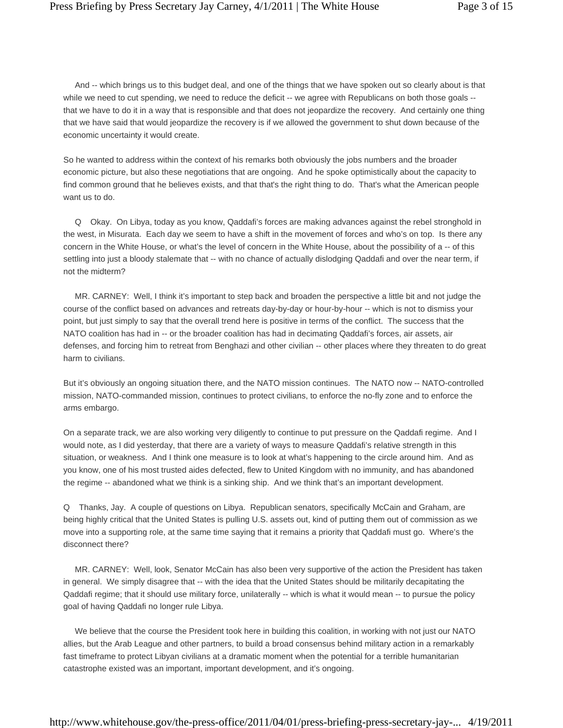And -- which brings us to this budget deal, and one of the things that we have spoken out so clearly about is that while we need to cut spending, we need to reduce the deficit -- we agree with Republicans on both those goals -that we have to do it in a way that is responsible and that does not jeopardize the recovery. And certainly one thing that we have said that would jeopardize the recovery is if we allowed the government to shut down because of the economic uncertainty it would create.

So he wanted to address within the context of his remarks both obviously the jobs numbers and the broader economic picture, but also these negotiations that are ongoing. And he spoke optimistically about the capacity to find common ground that he believes exists, and that that's the right thing to do. That's what the American people want us to do.

 Q Okay. On Libya, today as you know, Qaddafi's forces are making advances against the rebel stronghold in the west, in Misurata. Each day we seem to have a shift in the movement of forces and who's on top. Is there any concern in the White House, or what's the level of concern in the White House, about the possibility of a -- of this settling into just a bloody stalemate that -- with no chance of actually dislodging Qaddafi and over the near term, if not the midterm?

 MR. CARNEY: Well, I think it's important to step back and broaden the perspective a little bit and not judge the course of the conflict based on advances and retreats day-by-day or hour-by-hour -- which is not to dismiss your point, but just simply to say that the overall trend here is positive in terms of the conflict. The success that the NATO coalition has had in -- or the broader coalition has had in decimating Qaddafi's forces, air assets, air defenses, and forcing him to retreat from Benghazi and other civilian -- other places where they threaten to do great harm to civilians.

But it's obviously an ongoing situation there, and the NATO mission continues. The NATO now -- NATO-controlled mission, NATO-commanded mission, continues to protect civilians, to enforce the no-fly zone and to enforce the arms embargo.

On a separate track, we are also working very diligently to continue to put pressure on the Qaddafi regime. And I would note, as I did yesterday, that there are a variety of ways to measure Qaddafi's relative strength in this situation, or weakness. And I think one measure is to look at what's happening to the circle around him. And as you know, one of his most trusted aides defected, flew to United Kingdom with no immunity, and has abandoned the regime -- abandoned what we think is a sinking ship. And we think that's an important development.

Q Thanks, Jay. A couple of questions on Libya. Republican senators, specifically McCain and Graham, are being highly critical that the United States is pulling U.S. assets out, kind of putting them out of commission as we move into a supporting role, at the same time saying that it remains a priority that Qaddafi must go. Where's the disconnect there?

 MR. CARNEY: Well, look, Senator McCain has also been very supportive of the action the President has taken in general. We simply disagree that -- with the idea that the United States should be militarily decapitating the Qaddafi regime; that it should use military force, unilaterally -- which is what it would mean -- to pursue the policy goal of having Qaddafi no longer rule Libya.

 We believe that the course the President took here in building this coalition, in working with not just our NATO allies, but the Arab League and other partners, to build a broad consensus behind military action in a remarkably fast timeframe to protect Libyan civilians at a dramatic moment when the potential for a terrible humanitarian catastrophe existed was an important, important development, and it's ongoing.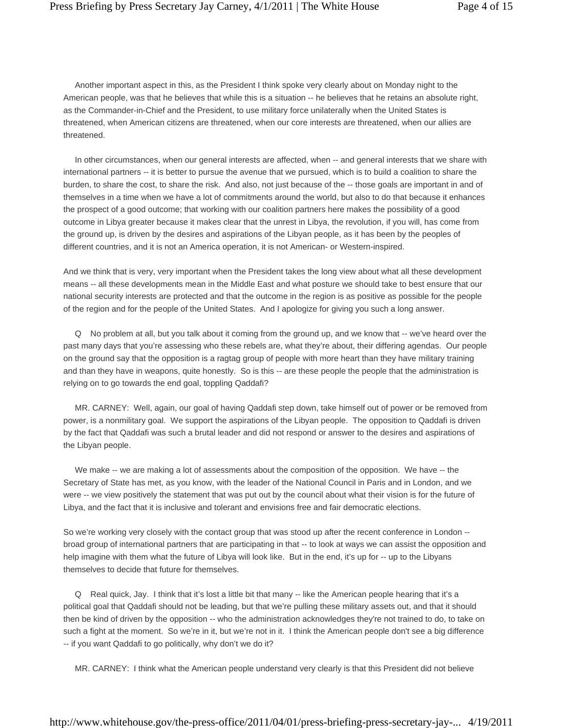Another important aspect in this, as the President I think spoke very clearly about on Monday night to the American people, was that he believes that while this is a situation -- he believes that he retains an absolute right, as the Commander-in-Chief and the President, to use military force unilaterally when the United States is threatened, when American citizens are threatened, when our core interests are threatened, when our allies are threatened.

 In other circumstances, when our general interests are affected, when -- and general interests that we share with international partners -- it is better to pursue the avenue that we pursued, which is to build a coalition to share the burden, to share the cost, to share the risk. And also, not just because of the -- those goals are important in and of themselves in a time when we have a lot of commitments around the world, but also to do that because it enhances the prospect of a good outcome; that working with our coalition partners here makes the possibility of a good outcome in Libya greater because it makes clear that the unrest in Libya, the revolution, if you will, has come from the ground up, is driven by the desires and aspirations of the Libyan people, as it has been by the peoples of different countries, and it is not an America operation, it is not American- or Western-inspired.

And we think that is very, very important when the President takes the long view about what all these development means -- all these developments mean in the Middle East and what posture we should take to best ensure that our national security interests are protected and that the outcome in the region is as positive as possible for the people of the region and for the people of the United States. And I apologize for giving you such a long answer.

 Q No problem at all, but you talk about it coming from the ground up, and we know that -- we've heard over the past many days that you're assessing who these rebels are, what they're about, their differing agendas. Our people on the ground say that the opposition is a ragtag group of people with more heart than they have military training and than they have in weapons, quite honestly. So is this -- are these people the people that the administration is relying on to go towards the end goal, toppling Qaddafi?

 MR. CARNEY: Well, again, our goal of having Qaddafi step down, take himself out of power or be removed from power, is a nonmilitary goal. We support the aspirations of the Libyan people. The opposition to Qaddafi is driven by the fact that Qaddafi was such a brutal leader and did not respond or answer to the desires and aspirations of the Libyan people.

We make -- we are making a lot of assessments about the composition of the opposition. We have -- the Secretary of State has met, as you know, with the leader of the National Council in Paris and in London, and we were -- we view positively the statement that was put out by the council about what their vision is for the future of Libya, and the fact that it is inclusive and tolerant and envisions free and fair democratic elections.

So we're working very closely with the contact group that was stood up after the recent conference in London - broad group of international partners that are participating in that -- to look at ways we can assist the opposition and help imagine with them what the future of Libya will look like. But in the end, it's up for -- up to the Libyans themselves to decide that future for themselves.

 Q Real quick, Jay. I think that it's lost a little bit that many -- like the American people hearing that it's a political goal that Qaddafi should not be leading, but that we're pulling these military assets out, and that it should then be kind of driven by the opposition -- who the administration acknowledges they're not trained to do, to take on such a fight at the moment. So we're in it, but we're not in it. I think the American people don't see a big difference -- if you want Qaddafi to go politically, why don't we do it?

MR. CARNEY: I think what the American people understand very clearly is that this President did not believe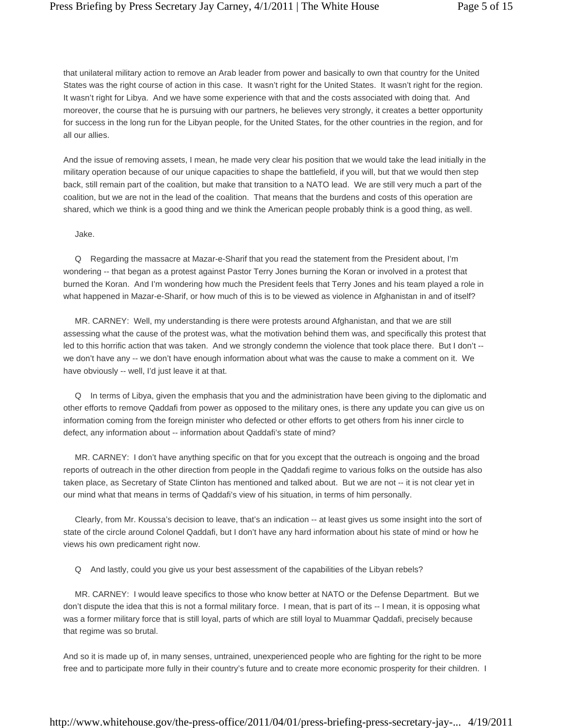that unilateral military action to remove an Arab leader from power and basically to own that country for the United States was the right course of action in this case. It wasn't right for the United States. It wasn't right for the region. It wasn't right for Libya. And we have some experience with that and the costs associated with doing that. And moreover, the course that he is pursuing with our partners, he believes very strongly, it creates a better opportunity for success in the long run for the Libyan people, for the United States, for the other countries in the region, and for all our allies.

And the issue of removing assets, I mean, he made very clear his position that we would take the lead initially in the military operation because of our unique capacities to shape the battlefield, if you will, but that we would then step back, still remain part of the coalition, but make that transition to a NATO lead. We are still very much a part of the coalition, but we are not in the lead of the coalition. That means that the burdens and costs of this operation are shared, which we think is a good thing and we think the American people probably think is a good thing, as well.

#### Jake.

 Q Regarding the massacre at Mazar-e-Sharif that you read the statement from the President about, I'm wondering -- that began as a protest against Pastor Terry Jones burning the Koran or involved in a protest that burned the Koran. And I'm wondering how much the President feels that Terry Jones and his team played a role in what happened in Mazar-e-Sharif, or how much of this is to be viewed as violence in Afghanistan in and of itself?

 MR. CARNEY: Well, my understanding is there were protests around Afghanistan, and that we are still assessing what the cause of the protest was, what the motivation behind them was, and specifically this protest that led to this horrific action that was taken. And we strongly condemn the violence that took place there. But I don't -we don't have any -- we don't have enough information about what was the cause to make a comment on it. We have obviously -- well, I'd just leave it at that.

 Q In terms of Libya, given the emphasis that you and the administration have been giving to the diplomatic and other efforts to remove Qaddafi from power as opposed to the military ones, is there any update you can give us on information coming from the foreign minister who defected or other efforts to get others from his inner circle to defect, any information about -- information about Qaddafi's state of mind?

 MR. CARNEY: I don't have anything specific on that for you except that the outreach is ongoing and the broad reports of outreach in the other direction from people in the Qaddafi regime to various folks on the outside has also taken place, as Secretary of State Clinton has mentioned and talked about. But we are not -- it is not clear yet in our mind what that means in terms of Qaddafi's view of his situation, in terms of him personally.

 Clearly, from Mr. Koussa's decision to leave, that's an indication -- at least gives us some insight into the sort of state of the circle around Colonel Qaddafi, but I don't have any hard information about his state of mind or how he views his own predicament right now.

Q And lastly, could you give us your best assessment of the capabilities of the Libyan rebels?

 MR. CARNEY: I would leave specifics to those who know better at NATO or the Defense Department. But we don't dispute the idea that this is not a formal military force. I mean, that is part of its -- I mean, it is opposing what was a former military force that is still loyal, parts of which are still loyal to Muammar Qaddafi, precisely because that regime was so brutal.

And so it is made up of, in many senses, untrained, unexperienced people who are fighting for the right to be more free and to participate more fully in their country's future and to create more economic prosperity for their children. I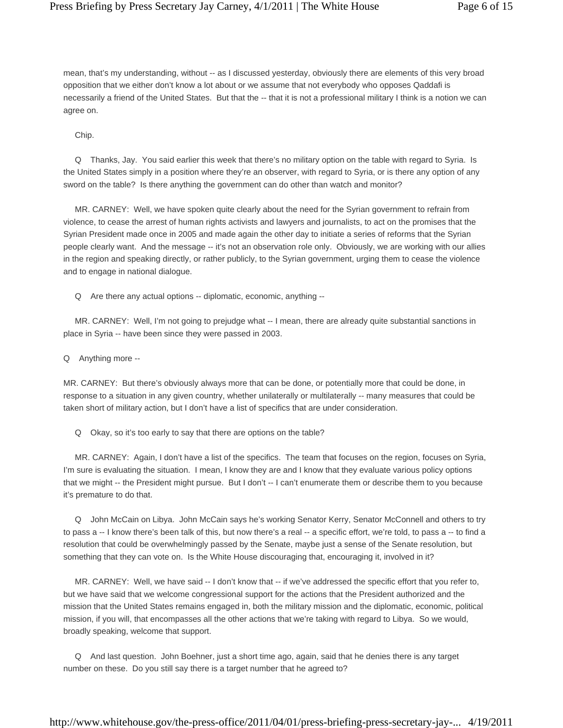mean, that's my understanding, without -- as I discussed yesterday, obviously there are elements of this very broad opposition that we either don't know a lot about or we assume that not everybody who opposes Qaddafi is necessarily a friend of the United States. But that the -- that it is not a professional military I think is a notion we can agree on.

Chip.

 Q Thanks, Jay. You said earlier this week that there's no military option on the table with regard to Syria. Is the United States simply in a position where they're an observer, with regard to Syria, or is there any option of any sword on the table? Is there anything the government can do other than watch and monitor?

 MR. CARNEY: Well, we have spoken quite clearly about the need for the Syrian government to refrain from violence, to cease the arrest of human rights activists and lawyers and journalists, to act on the promises that the Syrian President made once in 2005 and made again the other day to initiate a series of reforms that the Syrian people clearly want. And the message -- it's not an observation role only. Obviously, we are working with our allies in the region and speaking directly, or rather publicly, to the Syrian government, urging them to cease the violence and to engage in national dialogue.

Q Are there any actual options -- diplomatic, economic, anything --

 MR. CARNEY: Well, I'm not going to prejudge what -- I mean, there are already quite substantial sanctions in place in Syria -- have been since they were passed in 2003.

Q Anything more --

MR. CARNEY: But there's obviously always more that can be done, or potentially more that could be done, in response to a situation in any given country, whether unilaterally or multilaterally -- many measures that could be taken short of military action, but I don't have a list of specifics that are under consideration.

Q Okay, so it's too early to say that there are options on the table?

 MR. CARNEY: Again, I don't have a list of the specifics. The team that focuses on the region, focuses on Syria, I'm sure is evaluating the situation. I mean, I know they are and I know that they evaluate various policy options that we might -- the President might pursue. But I don't -- I can't enumerate them or describe them to you because it's premature to do that.

 Q John McCain on Libya. John McCain says he's working Senator Kerry, Senator McConnell and others to try to pass a -- I know there's been talk of this, but now there's a real -- a specific effort, we're told, to pass a -- to find a resolution that could be overwhelmingly passed by the Senate, maybe just a sense of the Senate resolution, but something that they can vote on. Is the White House discouraging that, encouraging it, involved in it?

 MR. CARNEY: Well, we have said -- I don't know that -- if we've addressed the specific effort that you refer to, but we have said that we welcome congressional support for the actions that the President authorized and the mission that the United States remains engaged in, both the military mission and the diplomatic, economic, political mission, if you will, that encompasses all the other actions that we're taking with regard to Libya. So we would, broadly speaking, welcome that support.

 Q And last question. John Boehner, just a short time ago, again, said that he denies there is any target number on these. Do you still say there is a target number that he agreed to?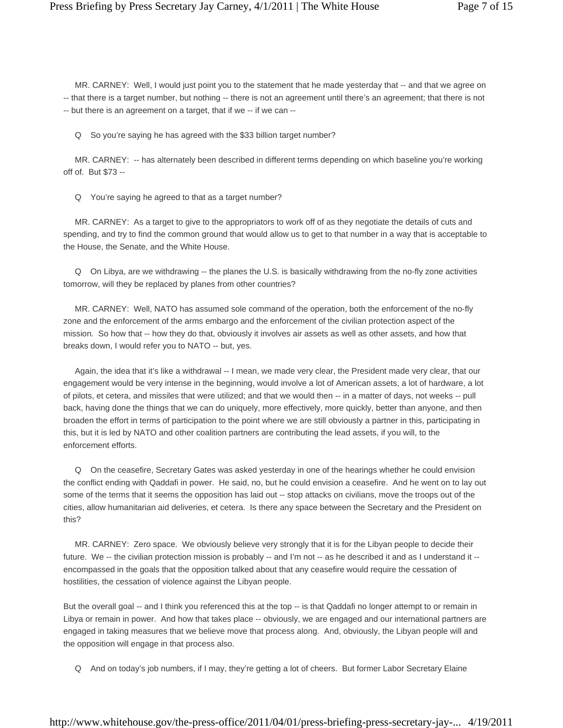MR. CARNEY: Well, I would just point you to the statement that he made yesterday that -- and that we agree on -- that there is a target number, but nothing -- there is not an agreement until there's an agreement; that there is not -- but there is an agreement on a target, that if we -- if we can --

Q So you're saying he has agreed with the \$33 billion target number?

 MR. CARNEY: -- has alternately been described in different terms depending on which baseline you're working off of. But \$73 --

Q You're saying he agreed to that as a target number?

 MR. CARNEY: As a target to give to the appropriators to work off of as they negotiate the details of cuts and spending, and try to find the common ground that would allow us to get to that number in a way that is acceptable to the House, the Senate, and the White House.

 Q On Libya, are we withdrawing -- the planes the U.S. is basically withdrawing from the no-fly zone activities tomorrow, will they be replaced by planes from other countries?

 MR. CARNEY: Well, NATO has assumed sole command of the operation, both the enforcement of the no-fly zone and the enforcement of the arms embargo and the enforcement of the civilian protection aspect of the mission. So how that -- how they do that, obviously it involves air assets as well as other assets, and how that breaks down, I would refer you to NATO -- but, yes.

Again, the idea that it's like a withdrawal -- I mean, we made very clear, the President made very clear, that our engagement would be very intense in the beginning, would involve a lot of American assets, a lot of hardware, a lot of pilots, et cetera, and missiles that were utilized; and that we would then -- in a matter of days, not weeks -- pull back, having done the things that we can do uniquely, more effectively, more quickly, better than anyone, and then broaden the effort in terms of participation to the point where we are still obviously a partner in this, participating in this, but it is led by NATO and other coalition partners are contributing the lead assets, if you will, to the enforcement efforts.

 Q On the ceasefire, Secretary Gates was asked yesterday in one of the hearings whether he could envision the conflict ending with Qaddafi in power. He said, no, but he could envision a ceasefire. And he went on to lay out some of the terms that it seems the opposition has laid out -- stop attacks on civilians, move the troops out of the cities, allow humanitarian aid deliveries, et cetera. Is there any space between the Secretary and the President on this?

 MR. CARNEY: Zero space. We obviously believe very strongly that it is for the Libyan people to decide their future. We -- the civilian protection mission is probably -- and I'm not -- as he described it and as I understand it - encompassed in the goals that the opposition talked about that any ceasefire would require the cessation of hostilities, the cessation of violence against the Libyan people.

But the overall goal -- and I think you referenced this at the top -- is that Qaddafi no longer attempt to or remain in Libya or remain in power. And how that takes place -- obviously, we are engaged and our international partners are engaged in taking measures that we believe move that process along. And, obviously, the Libyan people will and the opposition will engage in that process also.

Q And on today's job numbers, if I may, they're getting a lot of cheers. But former Labor Secretary Elaine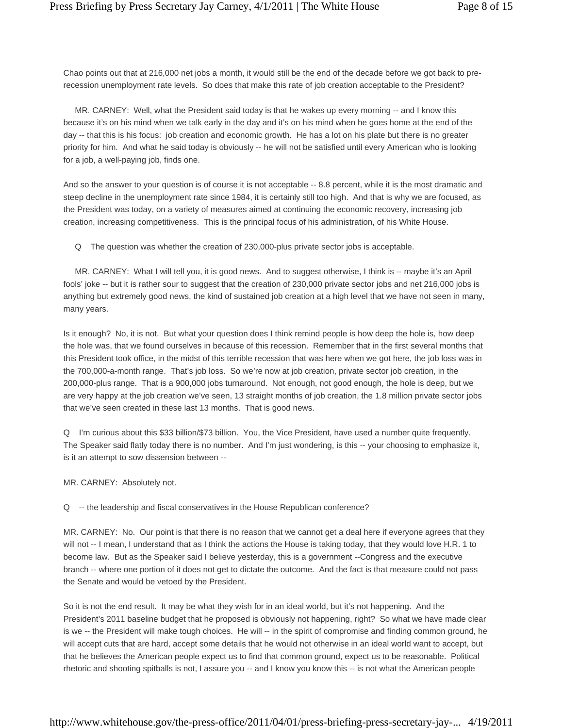Chao points out that at 216,000 net jobs a month, it would still be the end of the decade before we got back to prerecession unemployment rate levels. So does that make this rate of job creation acceptable to the President?

 MR. CARNEY: Well, what the President said today is that he wakes up every morning -- and I know this because it's on his mind when we talk early in the day and it's on his mind when he goes home at the end of the day -- that this is his focus: job creation and economic growth. He has a lot on his plate but there is no greater priority for him. And what he said today is obviously -- he will not be satisfied until every American who is looking for a job, a well-paying job, finds one.

And so the answer to your question is of course it is not acceptable -- 8.8 percent, while it is the most dramatic and steep decline in the unemployment rate since 1984, it is certainly still too high. And that is why we are focused, as the President was today, on a variety of measures aimed at continuing the economic recovery, increasing job creation, increasing competitiveness. This is the principal focus of his administration, of his White House.

Q The question was whether the creation of 230,000-plus private sector jobs is acceptable.

 MR. CARNEY: What I will tell you, it is good news. And to suggest otherwise, I think is -- maybe it's an April fools' joke -- but it is rather sour to suggest that the creation of 230,000 private sector jobs and net 216,000 jobs is anything but extremely good news, the kind of sustained job creation at a high level that we have not seen in many, many years.

Is it enough? No, it is not. But what your question does I think remind people is how deep the hole is, how deep the hole was, that we found ourselves in because of this recession. Remember that in the first several months that this President took office, in the midst of this terrible recession that was here when we got here, the job loss was in the 700,000-a-month range. That's job loss. So we're now at job creation, private sector job creation, in the 200,000-plus range. That is a 900,000 jobs turnaround. Not enough, not good enough, the hole is deep, but we are very happy at the job creation we've seen, 13 straight months of job creation, the 1.8 million private sector jobs that we've seen created in these last 13 months. That is good news.

Q I'm curious about this \$33 billion/\$73 billion. You, the Vice President, have used a number quite frequently. The Speaker said flatly today there is no number. And I'm just wondering, is this -- your choosing to emphasize it, is it an attempt to sow dissension between --

#### MR. CARNEY: Absolutely not.

Q -- the leadership and fiscal conservatives in the House Republican conference?

MR. CARNEY: No. Our point is that there is no reason that we cannot get a deal here if everyone agrees that they will not -- I mean, I understand that as I think the actions the House is taking today, that they would love H.R. 1 to become law. But as the Speaker said I believe yesterday, this is a government --Congress and the executive branch -- where one portion of it does not get to dictate the outcome. And the fact is that measure could not pass the Senate and would be vetoed by the President.

So it is not the end result. It may be what they wish for in an ideal world, but it's not happening. And the President's 2011 baseline budget that he proposed is obviously not happening, right? So what we have made clear is we -- the President will make tough choices. He will -- in the spirit of compromise and finding common ground, he will accept cuts that are hard, accept some details that he would not otherwise in an ideal world want to accept, but that he believes the American people expect us to find that common ground, expect us to be reasonable. Political rhetoric and shooting spitballs is not, I assure you -- and I know you know this -- is not what the American people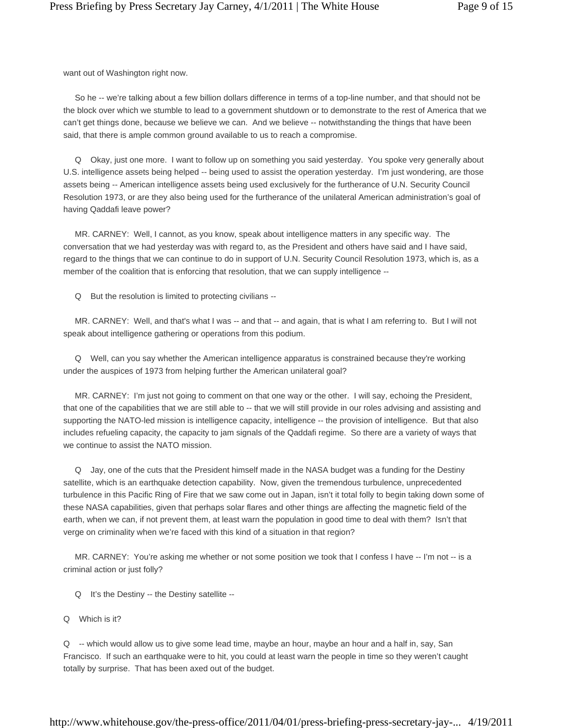want out of Washington right now.

 So he -- we're talking about a few billion dollars difference in terms of a top-line number, and that should not be the block over which we stumble to lead to a government shutdown or to demonstrate to the rest of America that we can't get things done, because we believe we can. And we believe -- notwithstanding the things that have been said, that there is ample common ground available to us to reach a compromise.

 Q Okay, just one more. I want to follow up on something you said yesterday. You spoke very generally about U.S. intelligence assets being helped -- being used to assist the operation yesterday. I'm just wondering, are those assets being -- American intelligence assets being used exclusively for the furtherance of U.N. Security Council Resolution 1973, or are they also being used for the furtherance of the unilateral American administration's goal of having Qaddafi leave power?

 MR. CARNEY: Well, I cannot, as you know, speak about intelligence matters in any specific way. The conversation that we had yesterday was with regard to, as the President and others have said and I have said, regard to the things that we can continue to do in support of U.N. Security Council Resolution 1973, which is, as a member of the coalition that is enforcing that resolution, that we can supply intelligence --

Q But the resolution is limited to protecting civilians --

MR. CARNEY: Well, and that's what I was -- and that -- and again, that is what I am referring to. But I will not speak about intelligence gathering or operations from this podium.

 Q Well, can you say whether the American intelligence apparatus is constrained because they're working under the auspices of 1973 from helping further the American unilateral goal?

 MR. CARNEY: I'm just not going to comment on that one way or the other. I will say, echoing the President, that one of the capabilities that we are still able to -- that we will still provide in our roles advising and assisting and supporting the NATO-led mission is intelligence capacity, intelligence -- the provision of intelligence. But that also includes refueling capacity, the capacity to jam signals of the Qaddafi regime. So there are a variety of ways that we continue to assist the NATO mission.

 Q Jay, one of the cuts that the President himself made in the NASA budget was a funding for the Destiny satellite, which is an earthquake detection capability. Now, given the tremendous turbulence, unprecedented turbulence in this Pacific Ring of Fire that we saw come out in Japan, isn't it total folly to begin taking down some of these NASA capabilities, given that perhaps solar flares and other things are affecting the magnetic field of the earth, when we can, if not prevent them, at least warn the population in good time to deal with them? Isn't that verge on criminality when we're faced with this kind of a situation in that region?

MR. CARNEY: You're asking me whether or not some position we took that I confess I have -- I'm not -- is a criminal action or just folly?

- Q It's the Destiny -- the Destiny satellite --
- Q Which is it?

Q -- which would allow us to give some lead time, maybe an hour, maybe an hour and a half in, say, San Francisco. If such an earthquake were to hit, you could at least warn the people in time so they weren't caught totally by surprise. That has been axed out of the budget.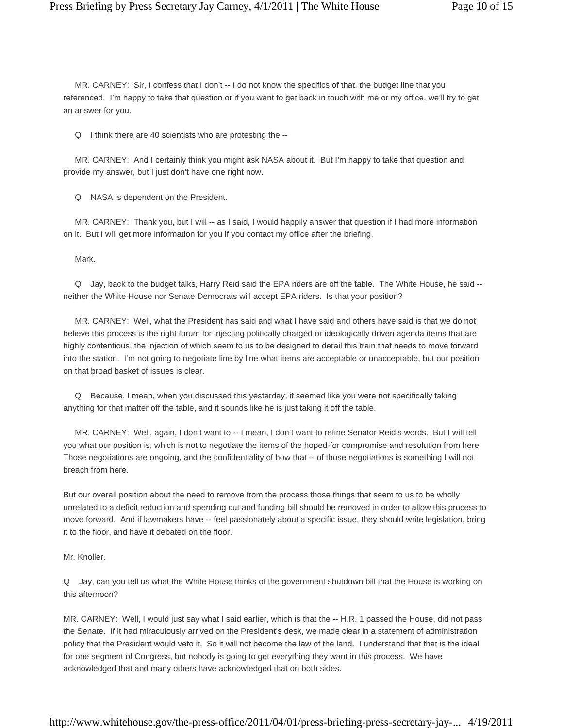MR. CARNEY: Sir, I confess that I don't -- I do not know the specifics of that, the budget line that you referenced. I'm happy to take that question or if you want to get back in touch with me or my office, we'll try to get an answer for you.

Q I think there are 40 scientists who are protesting the --

 MR. CARNEY: And I certainly think you might ask NASA about it. But I'm happy to take that question and provide my answer, but I just don't have one right now.

Q NASA is dependent on the President.

 MR. CARNEY: Thank you, but I will -- as I said, I would happily answer that question if I had more information on it. But I will get more information for you if you contact my office after the briefing.

Mark.

 Q Jay, back to the budget talks, Harry Reid said the EPA riders are off the table. The White House, he said - neither the White House nor Senate Democrats will accept EPA riders. Is that your position?

 MR. CARNEY: Well, what the President has said and what I have said and others have said is that we do not believe this process is the right forum for injecting politically charged or ideologically driven agenda items that are highly contentious, the injection of which seem to us to be designed to derail this train that needs to move forward into the station. I'm not going to negotiate line by line what items are acceptable or unacceptable, but our position on that broad basket of issues is clear.

 Q Because, I mean, when you discussed this yesterday, it seemed like you were not specifically taking anything for that matter off the table, and it sounds like he is just taking it off the table.

 MR. CARNEY: Well, again, I don't want to -- I mean, I don't want to refine Senator Reid's words. But I will tell you what our position is, which is not to negotiate the items of the hoped-for compromise and resolution from here. Those negotiations are ongoing, and the confidentiality of how that -- of those negotiations is something I will not breach from here.

But our overall position about the need to remove from the process those things that seem to us to be wholly unrelated to a deficit reduction and spending cut and funding bill should be removed in order to allow this process to move forward. And if lawmakers have -- feel passionately about a specific issue, they should write legislation, bring it to the floor, and have it debated on the floor.

Mr. Knoller.

Q Jay, can you tell us what the White House thinks of the government shutdown bill that the House is working on this afternoon?

MR. CARNEY: Well, I would just say what I said earlier, which is that the -- H.R. 1 passed the House, did not pass the Senate. If it had miraculously arrived on the President's desk, we made clear in a statement of administration policy that the President would veto it. So it will not become the law of the land. I understand that that is the ideal for one segment of Congress, but nobody is going to get everything they want in this process. We have acknowledged that and many others have acknowledged that on both sides.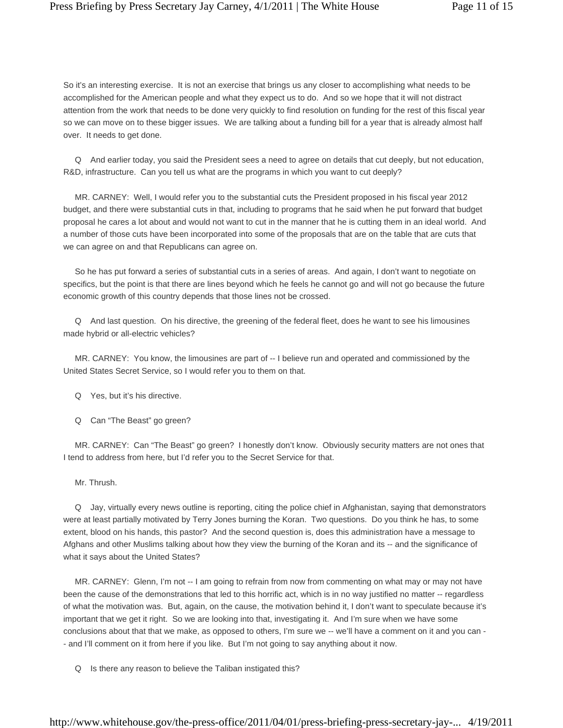So it's an interesting exercise. It is not an exercise that brings us any closer to accomplishing what needs to be accomplished for the American people and what they expect us to do. And so we hope that it will not distract attention from the work that needs to be done very quickly to find resolution on funding for the rest of this fiscal year so we can move on to these bigger issues. We are talking about a funding bill for a year that is already almost half over. It needs to get done.

 Q And earlier today, you said the President sees a need to agree on details that cut deeply, but not education, R&D, infrastructure. Can you tell us what are the programs in which you want to cut deeply?

 MR. CARNEY: Well, I would refer you to the substantial cuts the President proposed in his fiscal year 2012 budget, and there were substantial cuts in that, including to programs that he said when he put forward that budget proposal he cares a lot about and would not want to cut in the manner that he is cutting them in an ideal world. And a number of those cuts have been incorporated into some of the proposals that are on the table that are cuts that we can agree on and that Republicans can agree on.

 So he has put forward a series of substantial cuts in a series of areas. And again, I don't want to negotiate on specifics, but the point is that there are lines beyond which he feels he cannot go and will not go because the future economic growth of this country depends that those lines not be crossed.

 Q And last question. On his directive, the greening of the federal fleet, does he want to see his limousines made hybrid or all-electric vehicles?

 MR. CARNEY: You know, the limousines are part of -- I believe run and operated and commissioned by the United States Secret Service, so I would refer you to them on that.

- Q Yes, but it's his directive.
- Q Can "The Beast" go green?

 MR. CARNEY: Can "The Beast" go green? I honestly don't know. Obviously security matters are not ones that I tend to address from here, but I'd refer you to the Secret Service for that.

Mr. Thrush.

 Q Jay, virtually every news outline is reporting, citing the police chief in Afghanistan, saying that demonstrators were at least partially motivated by Terry Jones burning the Koran. Two questions. Do you think he has, to some extent, blood on his hands, this pastor? And the second question is, does this administration have a message to Afghans and other Muslims talking about how they view the burning of the Koran and its -- and the significance of what it says about the United States?

MR. CARNEY: Glenn, I'm not -- I am going to refrain from now from commenting on what may or may not have been the cause of the demonstrations that led to this horrific act, which is in no way justified no matter -- regardless of what the motivation was. But, again, on the cause, the motivation behind it, I don't want to speculate because it's important that we get it right. So we are looking into that, investigating it. And I'm sure when we have some conclusions about that that we make, as opposed to others, I'm sure we -- we'll have a comment on it and you can - - and I'll comment on it from here if you like. But I'm not going to say anything about it now.

Q Is there any reason to believe the Taliban instigated this?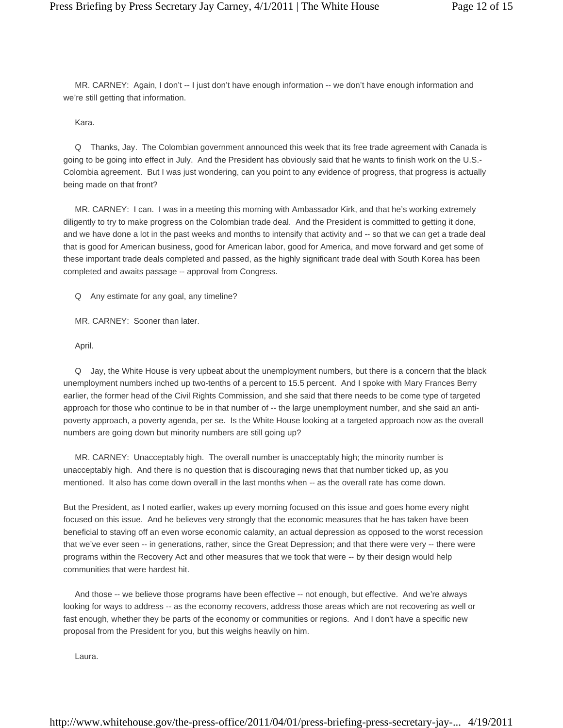MR. CARNEY: Again, I don't -- I just don't have enough information -- we don't have enough information and we're still getting that information.

### Kara.

 Q Thanks, Jay. The Colombian government announced this week that its free trade agreement with Canada is going to be going into effect in July. And the President has obviously said that he wants to finish work on the U.S.- Colombia agreement. But I was just wondering, can you point to any evidence of progress, that progress is actually being made on that front?

 MR. CARNEY: I can. I was in a meeting this morning with Ambassador Kirk, and that he's working extremely diligently to try to make progress on the Colombian trade deal. And the President is committed to getting it done, and we have done a lot in the past weeks and months to intensify that activity and -- so that we can get a trade deal that is good for American business, good for American labor, good for America, and move forward and get some of these important trade deals completed and passed, as the highly significant trade deal with South Korea has been completed and awaits passage -- approval from Congress.

Q Any estimate for any goal, any timeline?

MR. CARNEY: Sooner than later.

April.

 Q Jay, the White House is very upbeat about the unemployment numbers, but there is a concern that the black unemployment numbers inched up two-tenths of a percent to 15.5 percent. And I spoke with Mary Frances Berry earlier, the former head of the Civil Rights Commission, and she said that there needs to be come type of targeted approach for those who continue to be in that number of -- the large unemployment number, and she said an antipoverty approach, a poverty agenda, per se. Is the White House looking at a targeted approach now as the overall numbers are going down but minority numbers are still going up?

 MR. CARNEY: Unacceptably high. The overall number is unacceptably high; the minority number is unacceptably high. And there is no question that is discouraging news that that number ticked up, as you mentioned. It also has come down overall in the last months when -- as the overall rate has come down.

But the President, as I noted earlier, wakes up every morning focused on this issue and goes home every night focused on this issue. And he believes very strongly that the economic measures that he has taken have been beneficial to staving off an even worse economic calamity, an actual depression as opposed to the worst recession that we've ever seen -- in generations, rather, since the Great Depression; and that there were very -- there were programs within the Recovery Act and other measures that we took that were -- by their design would help communities that were hardest hit.

 And those -- we believe those programs have been effective -- not enough, but effective. And we're always looking for ways to address -- as the economy recovers, address those areas which are not recovering as well or fast enough, whether they be parts of the economy or communities or regions. And I don't have a specific new proposal from the President for you, but this weighs heavily on him.

Laura.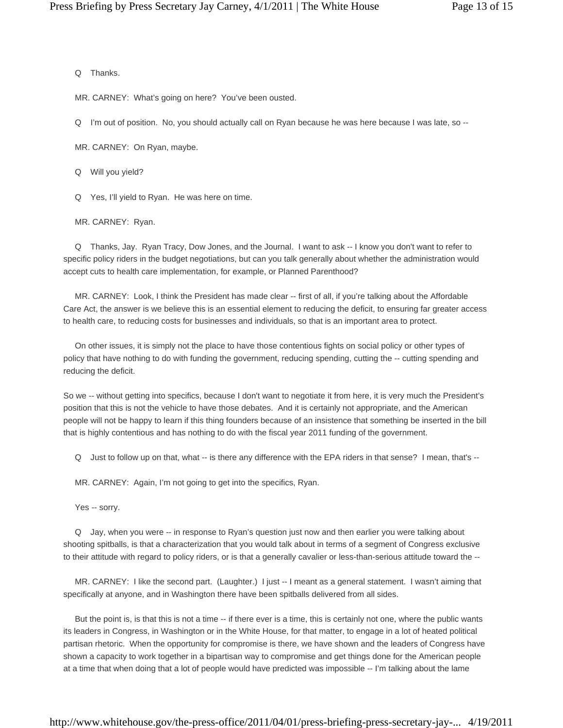#### Q Thanks.

MR. CARNEY: What's going on here? You've been ousted.

Q I'm out of position. No, you should actually call on Ryan because he was here because I was late, so --

MR. CARNEY: On Ryan, maybe.

Q Will you yield?

Q Yes, I'll yield to Ryan. He was here on time.

MR. CARNEY: Ryan.

 Q Thanks, Jay. Ryan Tracy, Dow Jones, and the Journal. I want to ask -- I know you don't want to refer to specific policy riders in the budget negotiations, but can you talk generally about whether the administration would accept cuts to health care implementation, for example, or Planned Parenthood?

 MR. CARNEY: Look, I think the President has made clear -- first of all, if you're talking about the Affordable Care Act, the answer is we believe this is an essential element to reducing the deficit, to ensuring far greater access to health care, to reducing costs for businesses and individuals, so that is an important area to protect.

 On other issues, it is simply not the place to have those contentious fights on social policy or other types of policy that have nothing to do with funding the government, reducing spending, cutting the -- cutting spending and reducing the deficit.

So we -- without getting into specifics, because I don't want to negotiate it from here, it is very much the President's position that this is not the vehicle to have those debates. And it is certainly not appropriate, and the American people will not be happy to learn if this thing founders because of an insistence that something be inserted in the bill that is highly contentious and has nothing to do with the fiscal year 2011 funding of the government.

Q Just to follow up on that, what -- is there any difference with the EPA riders in that sense? I mean, that's --

MR. CARNEY: Again, I'm not going to get into the specifics, Ryan.

Yes -- sorry.

 Q Jay, when you were -- in response to Ryan's question just now and then earlier you were talking about shooting spitballs, is that a characterization that you would talk about in terms of a segment of Congress exclusive to their attitude with regard to policy riders, or is that a generally cavalier or less-than-serious attitude toward the --

 MR. CARNEY: I like the second part. (Laughter.) I just -- I meant as a general statement. I wasn't aiming that specifically at anyone, and in Washington there have been spitballs delivered from all sides.

 But the point is, is that this is not a time -- if there ever is a time, this is certainly not one, where the public wants its leaders in Congress, in Washington or in the White House, for that matter, to engage in a lot of heated political partisan rhetoric. When the opportunity for compromise is there, we have shown and the leaders of Congress have shown a capacity to work together in a bipartisan way to compromise and get things done for the American people at a time that when doing that a lot of people would have predicted was impossible -- I'm talking about the lame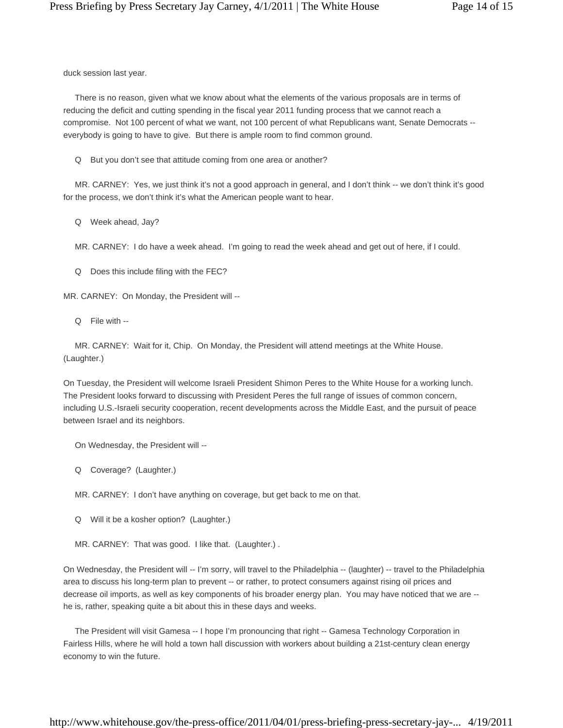duck session last year.

 There is no reason, given what we know about what the elements of the various proposals are in terms of reducing the deficit and cutting spending in the fiscal year 2011 funding process that we cannot reach a compromise. Not 100 percent of what we want, not 100 percent of what Republicans want, Senate Democrats - everybody is going to have to give. But there is ample room to find common ground.

Q But you don't see that attitude coming from one area or another?

 MR. CARNEY: Yes, we just think it's not a good approach in general, and I don't think -- we don't think it's good for the process, we don't think it's what the American people want to hear.

Q Week ahead, Jay?

MR. CARNEY: I do have a week ahead. I'm going to read the week ahead and get out of here, if I could.

Q Does this include filing with the FEC?

MR. CARNEY: On Monday, the President will --

Q File with --

 MR. CARNEY: Wait for it, Chip. On Monday, the President will attend meetings at the White House. (Laughter.)

On Tuesday, the President will welcome Israeli President Shimon Peres to the White House for a working lunch. The President looks forward to discussing with President Peres the full range of issues of common concern, including U.S.-Israeli security cooperation, recent developments across the Middle East, and the pursuit of peace between Israel and its neighbors.

On Wednesday, the President will --

Q Coverage? (Laughter.)

MR. CARNEY: I don't have anything on coverage, but get back to me on that.

Q Will it be a kosher option? (Laughter.)

MR. CARNEY: That was good. I like that. (Laughter.) .

On Wednesday, the President will -- I'm sorry, will travel to the Philadelphia -- (laughter) -- travel to the Philadelphia area to discuss his long-term plan to prevent -- or rather, to protect consumers against rising oil prices and decrease oil imports, as well as key components of his broader energy plan. You may have noticed that we are - he is, rather, speaking quite a bit about this in these days and weeks.

 The President will visit Gamesa -- I hope I'm pronouncing that right -- Gamesa Technology Corporation in Fairless Hills, where he will hold a town hall discussion with workers about building a 21st-century clean energy economy to win the future.